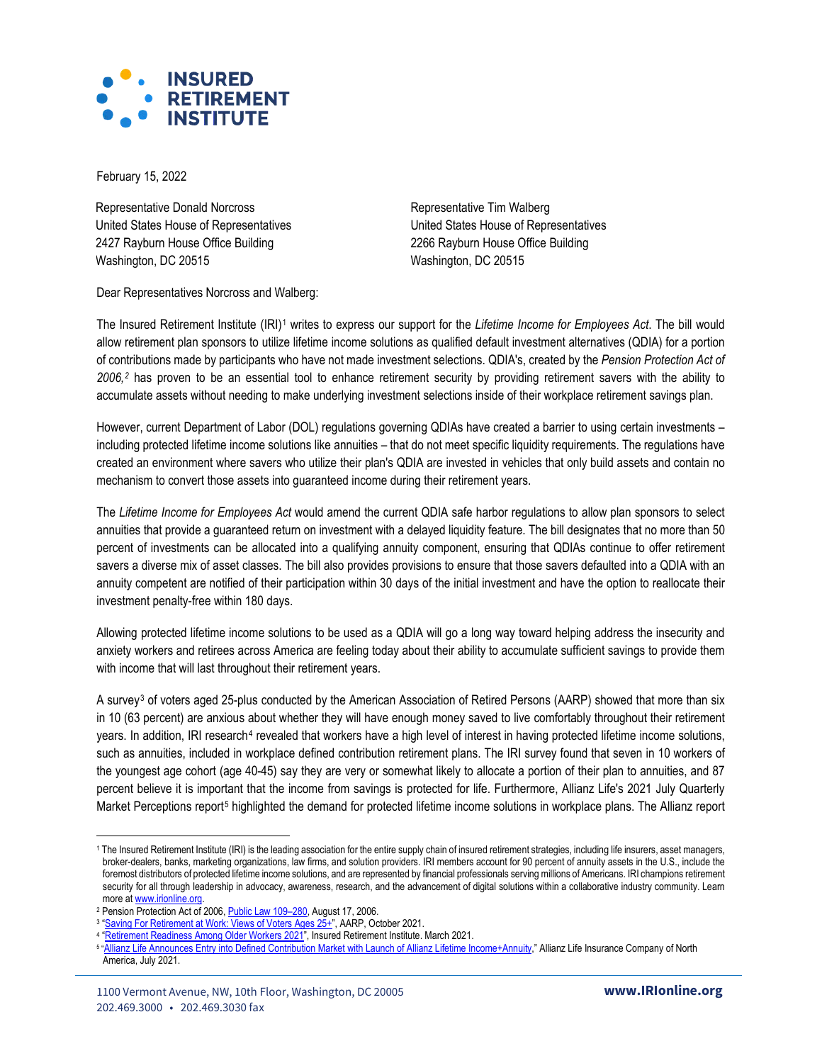

February 15, 2022

Representative Donald Norcross United States House of Representatives 2427 Rayburn House Office Building Washington, DC 20515

Representative Tim Walberg United States House of Representatives 2266 Rayburn House Office Building Washington, DC 20515

Dear Representatives Norcross and Walberg:

The Insured Retirement Institute (IRI)[1](#page-0-0) writes to express our support for the *Lifetime Income for Employees Act*. The bill would allow retirement plan sponsors to utilize lifetime income solutions as qualified default investment alternatives (QDIA) for a portion of contributions made by participants who have not made investment selections. QDIA's, created by the *Pension Protection Act of 2006,[2](#page-0-1)* has proven to be an essential tool to enhance retirement security by providing retirement savers with the ability to accumulate assets without needing to make underlying investment selections inside of their workplace retirement savings plan.

However, current Department of Labor (DOL) regulations governing QDIAs have created a barrier to using certain investments – including protected lifetime income solutions like annuities – that do not meet specific liquidity requirements. The regulations have created an environment where savers who utilize their plan's QDIA are invested in vehicles that only build assets and contain no mechanism to convert those assets into guaranteed income during their retirement years.

The *Lifetime Income for Employees Act* would amend the current QDIA safe harbor regulations to allow plan sponsors to select annuities that provide a guaranteed return on investment with a delayed liquidity feature. The bill designates that no more than 50 percent of investments can be allocated into a qualifying annuity component, ensuring that QDIAs continue to offer retirement savers a diverse mix of asset classes. The bill also provides provisions to ensure that those savers defaulted into a QDIA with an annuity competent are notified of their participation within 30 days of the initial investment and have the option to reallocate their investment penalty-free within 180 days.

Allowing protected lifetime income solutions to be used as a QDIA will go a long way toward helping address the insecurity and anxiety workers and retirees across America are feeling today about their ability to accumulate sufficient savings to provide them with income that will last throughout their retirement years.

A survey<sup>[3](#page-0-2)</sup> of voters aged 25-plus conducted by the American Association of Retired Persons (AARP) showed that more than six in 10 (63 percent) are anxious about whether they will have enough money saved to live comfortably throughout their retirement years. In addition, IRI research<sup>[4](#page-0-3)</sup> revealed that workers have a high level of interest in having protected lifetime income solutions, such as annuities, included in workplace defined contribution retirement plans. The IRI survey found that seven in 10 workers of the youngest age cohort (age 40-45) say they are very or somewhat likely to allocate a portion of their plan to annuities, and 87 percent believe it is important that the income from savings is protected for life. Furthermore, Allianz Life's 2021 July Quarterly Market Perceptions report<sup>[5](#page-0-4)</sup> highlighted the demand for protected lifetime income solutions in workplace plans. The Allianz report

<span id="page-0-0"></span><sup>1</sup> The Insured Retirement Institute (IRI) is the leading association for the entire supply chain of insured retirement strategies, including life insurers, asset managers, broker-dealers, banks, marketing organizations, law firms, and solution providers. IRI members account for 90 percent of annuity assets in the U.S., include the foremost distributors of protected lifetime income solutions, and are represented by financial professionals serving millions of Americans. IRI champions retirement security for all through leadership in advocacy, awareness, research, and the advancement of digital solutions within a collaborative industry community. Learn more a[t www.irionline.org.](http://www.irionline.org/) 

<span id="page-0-2"></span><span id="page-0-1"></span><sup>2</sup> Pension Protection Act of 2006[, Public Law](https://www.govinfo.gov/content/pkg/PLAW-109publ280/pdf/PLAW-109publ280.pdf) 109–280, August 17, 2006.

<sup>&</sup>lt;sup>3</sup> "<u>Saving For Retirement at Work: Views of Voters Ages 25+</u>", AARP, October 2021.

<sup>&</sup>lt;sup>4</sup> ["Retirement Readiness Among Older Workers 2021",](https://www.myirionline.org/docs/default-source/default-document-library/iri-retirement-readiness-2021_fullreport.pdf) Insured Retirement Institute. March 2021.

<span id="page-0-4"></span><span id="page-0-3"></span><sup>&</sup>lt;sup>s</sup> "<u>[Allianz Life Announces Entry into Defined Contribution Market with Launch of Allianz Lifetime Income+Annuity,](https://www.allianzlife.com/about/newsroom/2021-press-releases/allianz-life-announces-entry-into-defined-contribution-market)</u>" Allianz Life Insurance Company of North America, July 2021.